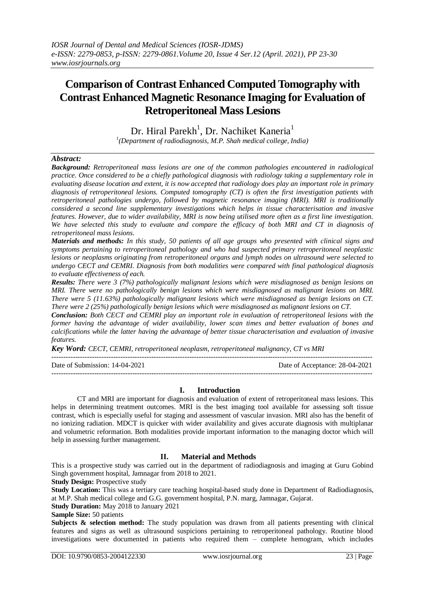# **Comparison of Contrast Enhanced Computed Tomography with Contrast Enhanced Magnetic Resonance Imaging for Evaluation of Retroperitoneal Mass Lesions**

Dr. Hiral Parekh<sup>1</sup>, Dr. Nachiket Kaneria<sup>1</sup>

*1 (Department of radiodiagnosis, M.P. Shah medical college, India)*

# *Abstract:*

*Background: Retroperitoneal mass lesions are one of the common pathologies encountered in radiological practice. Once considered to be a chiefly pathological diagnosis with radiology taking a supplementary role in evaluating disease location and extent, it is now accepted that radiology does play an important role in primary diagnosis of retroperitoneal lesions. Computed tomography (CT) is often the first investigation patients with retroperitoneal pathologies undergo, followed by magnetic resonance imaging (MRI). MRI is traditionally considered a second line supplementary investigations which helps in tissue characterisation and invasive features. However, due to wider availability, MRI is now being utilised more often as a first line investigation. We have selected this study to evaluate and compare the efficacy of both MRI and CT in diagnosis of retroperitoneal mass lesions.*

*Materials and methods: In this study, 50 patients of all age groups who presented with clinical signs and symptoms pertaining to retroperitoneal pathology and who had suspected primary retroperitoneal neoplastic lesions or neoplasms originating from retroperitoneal organs and lymph nodes on ultrasound were selected to undergo CECT and CEMRI. Diagnosis from both modalities were compared with final pathological diagnosis to evaluate effectiveness of each.*

*Results: There were 3 (7%) pathologically malignant lesions which were misdiagnosed as benign lesions on MRI. There were no pathologically benign lesions which were misdiagnosed as malignant lesions on MRI. There were 5 (11.63%) pathologically malignant lesions which were misdiagnosed as benign lesions on CT. There were 2 (25%) pathologically benign lesions which were misdiagnosed as malignant lesions on CT.*

*Conclusion: Both CECT and CEMRI play an important role in evaluation of retroperitoneal lesions with the former having the advantage of wider availability, lower scan times and better evaluation of bones and calcifications while the latter having the advantage of better tissue characterisation and evaluation of invasive features.* 

*Key Word: CECT, CEMRI, retroperitoneal neoplasm, retroperitoneal malignancy, CT vs MRI*

| Date of Submission: 14-04-2021 | Date of Acceptance: 28-04-2021 |
|--------------------------------|--------------------------------|
|                                |                                |

# **I. Introduction**

CT and MRI are important for diagnosis and evaluation of extent of retroperitoneal mass lesions. This helps in determining treatment outcomes. MRI is the best imaging tool available for assessing soft tissue contrast, which is especially useful for staging and assessment of vascular invasion. MRI also has the benefit of no ionizing radiation. MDCT is quicker with wider availability and gives accurate diagnosis with multiplanar and volumetric reformation. Both modalities provide important information to the managing doctor which will help in assessing further management.

# **II. Material and Methods**

This is a prospective study was carried out in the department of radiodiagnosis and imaging at Guru Gobind Singh government hospital, Jamnagar from 2018 to 2021.

**Study Design:** Prospective study

**Study Location:** This was a tertiary care teaching hospital-based study done in Department of Radiodiagnosis, at M.P. Shah medical college and G.G. government hospital, P.N. marg, Jamnagar, Gujarat.

**Study Duration:** May 2018 to January 2021

**Sample Size:** 50 patients

**Subjects & selection method:** The study population was drawn from all patients presenting with clinical features and signs as well as ultrasound suspicions pertaining to retroperitoneal pathology. Routine blood investigations were documented in patients who required them – complete hemogram, which includes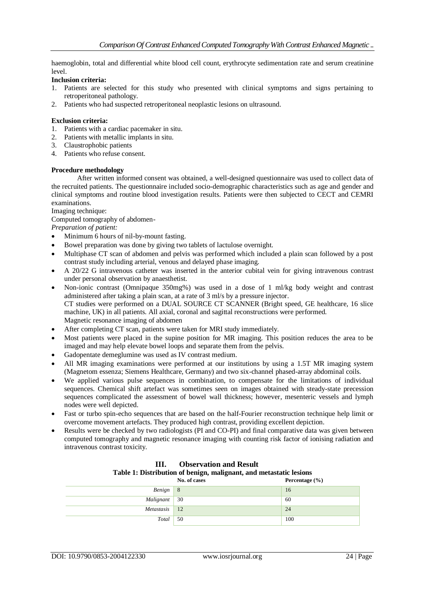haemoglobin, total and differential white blood cell count, erythrocyte sedimentation rate and serum creatinine level.

# **Inclusion criteria:**

- 1. Patients are selected for this study who presented with clinical symptoms and signs pertaining to retroperitoneal pathology.
- 2. Patients who had suspected retroperitoneal neoplastic lesions on ultrasound.

# **Exclusion criteria:**

- 1. Patients with a cardiac pacemaker in situ.
- 2. Patients with metallic implants in situ.
- 3. Claustrophobic patients
- 4. Patients who refuse consent.

#### **Procedure methodology**

After written informed consent was obtained, a well-designed questionnaire was used to collect data of the recruited patients. The questionnaire included socio-demographic characteristics such as age and gender and clinical symptoms and routine blood investigation results. Patients were then subjected to CECT and CEMRI examinations.

# Imaging technique:

Computed tomography of abdomen-

*Preparation of patient:*

- Minimum 6 hours of nil-by-mount fasting.
- Bowel preparation was done by giving two tablets of lactulose overnight.
- Multiphase CT scan of abdomen and pelvis was performed which included a plain scan followed by a post contrast study including arterial, venous and delayed phase imaging.
- A 20/22 G intravenous catheter was inserted in the anterior cubital vein for giving intravenous contrast under personal observation by anaesthetist.
- Non-ionic contrast (Omnipaque 350mg%) was used in a dose of 1 ml/kg body weight and contrast administered after taking a plain scan, at a rate of 3 ml/s by a pressure injector. CT studies were performed on a DUAL SOURCE CT SCANNER (Bright speed, GE healthcare, 16 slice machine, UK) in all patients. All axial, coronal and sagittal reconstructions were performed. Magnetic resonance imaging of abdomen
- After completing CT scan, patients were taken for MRI study immediately.
- Most patients were placed in the supine position for MR imaging. This position reduces the area to be imaged and may help elevate bowel loops and separate them from the pelvis.
- Gadopentate demeglumine was used as IV contrast medium.
- All MR imaging examinations were performed at our institutions by using a 1.5T MR imaging system (Magnetom essenza; Siemens Healthcare, Germany) and two six-channel phased-array abdominal coils.
- We applied various pulse sequences in combination, to compensate for the limitations of individual sequences. Chemical shift artefact was sometimes seen on images obtained with steady-state precession sequences complicated the assessment of bowel wall thickness; however, mesenteric vessels and lymph nodes were well depicted.
- Fast or turbo spin-echo sequences that are based on the half-Fourier reconstruction technique help limit or overcome movement artefacts. They produced high contrast, providing excellent depiction.
- Results were be checked by two radiologists (PI and CO-PI) and final comparative data was given between computed tomography and magnetic resonance imaging with counting risk factor of ionising radiation and intravenous contrast toxicity.

| Table 1: Distribution of benign, malignant, and metastatic lesions |               |                    |  |
|--------------------------------------------------------------------|---------------|--------------------|--|
|                                                                    | No. of cases  | Percentage $(\% )$ |  |
| Benign 8                                                           |               | 16                 |  |
| Malignant 30                                                       |               | 60                 |  |
| <i>Metastasis</i>                                                  | <sup>12</sup> | 24                 |  |
| Total                                                              | 50            | 100                |  |

# **III. Observation and Result**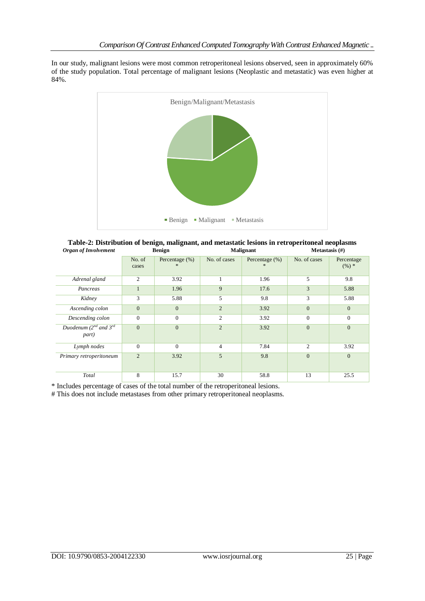In our study, malignant lesions were most common retroperitoneal lesions observed, seen in approximately 60% of the study population. Total percentage of malignant lesions (Neoplastic and metastatic) was even higher at 84%.





| organ of montement                       |                 |                             | рсицен<br>waanguun |                      |                  |                       |
|------------------------------------------|-----------------|-----------------------------|--------------------|----------------------|------------------|-----------------------|
|                                          | No. of<br>cases | Percentage $(\%)$<br>$\ast$ | No. of cases       | Percentage (%)<br>×. | No. of cases     | Percentage<br>$(%) *$ |
| Adrenal gland                            | $\overline{2}$  | 3.92                        | т.                 | 1.96                 | 5                | 9.8                   |
| Pancreas                                 |                 | 1.96                        | 9                  | 17.6                 | 3                | 5.88                  |
| Kidney                                   | 3               | 5.88                        | 5                  | 9.8                  | 3                | 5.88                  |
| Ascending colon                          | $\mathbf{0}$    | $\overline{0}$              | $\overline{2}$     | 3.92                 | $\mathbf{0}$     | $\overline{0}$        |
| Descending colon                         | $\Omega$        | $\overline{0}$              | $\overline{2}$     | 3.92                 | $\mathbf{0}$     | $\mathbf{0}$          |
| Duodenum $(2^{nd}$ and $3^{rd}$<br>part) | $\mathbf{0}$    | $\overline{0}$              | $\overline{2}$     | 3.92                 | $\boldsymbol{0}$ | $\mathbf{0}$          |
| Lymph nodes                              | $\Omega$        | $\Omega$                    | $\overline{4}$     | 7.84                 | $\overline{2}$   | 3.92                  |
| Primary retroperitoneum                  | 2               | 3.92                        | 5                  | 9.8                  | $\mathbf{0}$     | $\overline{0}$        |
| Total                                    | 8               | 15.7                        | 30                 | 58.8                 | 13               | 25.5                  |

\* Includes percentage of cases of the total number of the retroperitoneal lesions.

# This does not include metastases from other primary retroperitoneal neoplasms.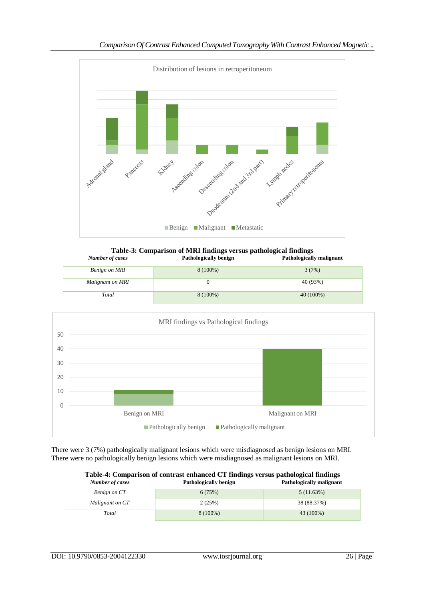

**Table-3: Comparison of MRI findings versus pathological findings** *Number of cases* **Pathologically benign Pathologically malignant**

|                  | -<br>--  | __          |
|------------------|----------|-------------|
| Benign on MRI    | 8 (100%) | 3(7%)       |
| Malignant on MRI |          | 40 (93%)    |
| Total            | 8 (100%) | $40(100\%)$ |



There were 3 (7%) pathologically malignant lesions which were misdiagnosed as benign lesions on MRI. There were no pathologically benign lesions which were misdiagnosed as malignant lesions on MRI.

| Table-4: Comparison of contrast enhanced CT findings versus pathological findings |  |
|-----------------------------------------------------------------------------------|--|
|-----------------------------------------------------------------------------------|--|

| <b>Number of cases</b> | Pathologically benign | <b>Pathologically malignant</b> |
|------------------------|-----------------------|---------------------------------|
| Benign on CT           | 6(75%)                | 5(11.63%)                       |
| Malignant on CT        | 2(25%)                | 38 (88.37%)                     |
| Total                  | 8 (100%)              | 43 (100%)                       |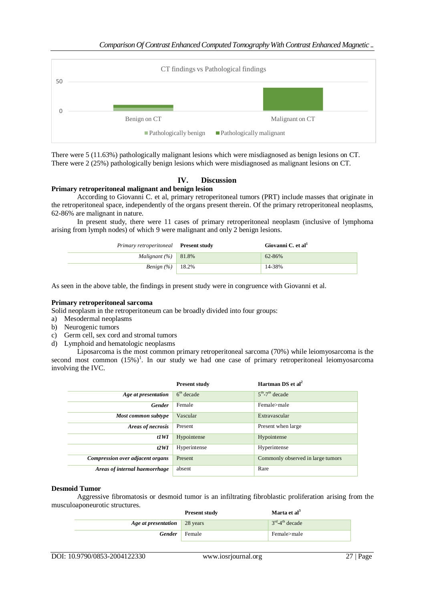

There were 5 (11.63%) pathologically malignant lesions which were misdiagnosed as benign lesions on CT. There were 2 (25%) pathologically benign lesions which were misdiagnosed as malignant lesions on CT.

# **IV. Discussion**

#### **Primary retroperitoneal malignant and benign lesion**

According to Giovanni C. et al, primary retroperitoneal tumors (PRT) include masses that originate in the retroperitoneal space, independently of the organs present therein. Of the primary retroperitoneal neoplasms, 62-86% are malignant in nature.

In present study, there were 11 cases of primary retroperitoneal neoplasm (inclusive of lymphoma arising from lymph nodes) of which 9 were malignant and only 2 benign lesions.

| Primary retroperitoneal Present study | Giovanni C. et al <sup>1</sup> |
|---------------------------------------|--------------------------------|
| Malignant $(\%)$ 81.8%                | 62-86%                         |
| <i>Benign</i> $(\%)$ 18.2%            | 14-38%                         |

As seen in the above table, the findings in present study were in congruence with Giovanni et al.

# **Primary retroperitoneal sarcoma**

Solid neoplasm in the retroperitoneum can be broadly divided into four groups:

- a) Mesodermal neoplasms
- b) Neurogenic tumors
- c) Germ cell, sex cord and stromal tumors
- d) Lymphoid and hematologic neoplasms

Liposarcoma is the most common primary retroperitoneal sarcoma (70%) while leiomyosarcoma is the second most common  $(15%)$ <sup>1</sup>. In our study we had one case of primary retroperitoneal leiomyosarcoma involving the IVC.

|                                  | <b>Present study</b> | Hartman DS et $al2$               |
|----------------------------------|----------------------|-----------------------------------|
| Age at presentation              | $6th$ decade         | $5th - 7th$ decade                |
| <b>Gender</b>                    | Female               | Female>male                       |
| Most common subtype              | Vascular             | Extravascular                     |
| Areas of necrosis                | Present              | Present when large                |
| tIWI                             | Hypointense          | Hypointense                       |
| t2W                              | Hyperintense         | Hyperintense                      |
| Compression over adjacent organs | Present              | Commonly observed in large tumors |
| Areas of internal haemorrhage    | absent               | Rare                              |

#### **Desmoid Tumor**

Aggressive fibromatosis or desmoid tumor is an infiltrating fibroblastic proliferation arising from the musculoaponeurotic structures. **Present study Marta et al<sup>3</sup>**

|                              | <b>Present study</b> | -wiarta et ai      |
|------------------------------|----------------------|--------------------|
| Age at presentation 28 years |                      | $3rd - 4th$ decade |
| <b>Gender</b>                | Female               | Female>male        |
|                              |                      |                    |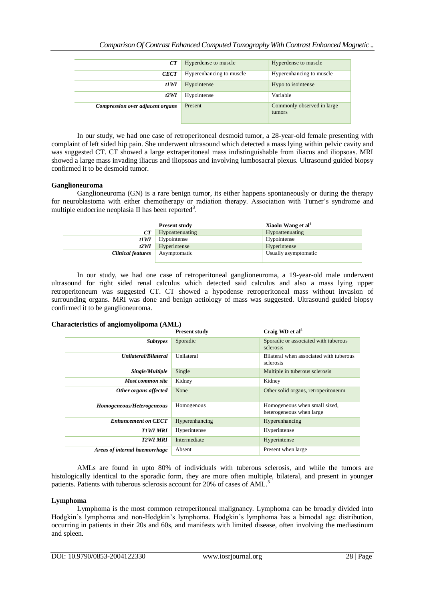| CT                               | Hyperdense to muscle     | Hyperdense to muscle                 |
|----------------------------------|--------------------------|--------------------------------------|
| <b>CECT</b>                      | Hyperenhancing to muscle | Hyperenhancing to muscle             |
| tIWI                             | Hypointense              | Hypo to isointense                   |
| t2W1                             | Hypointense              | Variable                             |
| Compression over adjacent organs | Present                  | Commonly observed in large<br>tumors |

In our study, we had one case of retroperitoneal desmoid tumor, a 28-year-old female presenting with complaint of left sided hip pain. She underwent ultrasound which detected a mass lying within pelvic cavity and was suggested CT. CT showed a large extraperitoneal mass indistinguishable from iliacus and iliopsoas. MRI showed a large mass invading iliacus and iliopsoas and involving lumbosacral plexus. Ultrasound guided biopsy confirmed it to be desmoid tumor.

# **Ganglioneuroma**

Ganglioneuroma (GN) is a rare benign tumor, its either happens spontaneously or during the therapy for neuroblastoma with either chemotherapy or radiation therapy. Association with Turner's syndrome and multiple endocrine neoplasia  $II$  has been reported<sup>3</sup>.

|                          | <b>Present study</b> | Xiaolu Wang et al <sup>4</sup> |
|--------------------------|----------------------|--------------------------------|
|                          | Hypoattenuating      | Hypoattenuating                |
| tIWI                     | Hypointense          | Hypointense                    |
| t2W                      | Hyperintense         | Hyperintense                   |
| <b>Clinical features</b> | Asymptomatic         | Usually asymptomatic           |
|                          |                      |                                |

In our study, we had one case of retroperitoneal ganglioneuroma, a 19-year-old male underwent ultrasound for right sided renal calculus which detected said calculus and also a mass lying upper retroperitoneum was suggested CT. CT showed a hypodense retroperitoneal mass without invasion of surrounding organs. MRI was done and benign aetiology of mass was suggested. Ultrasound guided biopsy confirmed it to be ganglioneuroma.

# **Characteristics of angiomyolipoma (AML)**

|                                    | <b>Present study</b> | Craig WD et al <sup>5</sup>                               |
|------------------------------------|----------------------|-----------------------------------------------------------|
| <b>Subtypes</b>                    | Sporadic             | Sporadic or associated with tuberous<br>sclerosis         |
| <b><i>Unilateral/Bilateral</i></b> | Unilateral           | Bilateral when associated with tuberous<br>sclerosis      |
| Single/Multiple                    | Single               | Multiple in tuberous sclerosis                            |
| Most common site                   | Kidney               | Kidney                                                    |
| Other organs affected              | None                 | Other solid organs, retroperitoneum                       |
| Homogeneous/Heterogeneous          | Homogenous           | Homogeneous when small sized,<br>heterogeneous when large |
| <b>Enhancement on CECT</b>         | Hyperenhancing       | Hyperenhancing                                            |
| TIWI MRI                           | Hyperintense         | Hyperintense                                              |
| <b>T2WI MRI</b>                    | Intermediate         | Hyperintense                                              |
| Areas of internal haemorrhage      | Absent               | Present when large                                        |

AMLs are found in upto 80% of individuals with tuberous sclerosis, and while the tumors are histologically identical to the sporadic form, they are more often multiple, bilateral, and present in younger patients. Patients with tuberous sclerosis account for 20% of cases of AML.<sup>5</sup>

#### **Lymphoma**

Lymphoma is the most common retroperitoneal malignancy. Lymphoma can be broadly divided into Hodgkin's lymphoma and non-Hodgkin's lymphoma. Hodgkin's lymphoma has a bimodal age distribution, occurring in patients in their 20s and 60s, and manifests with limited disease, often involving the mediastinum and spleen.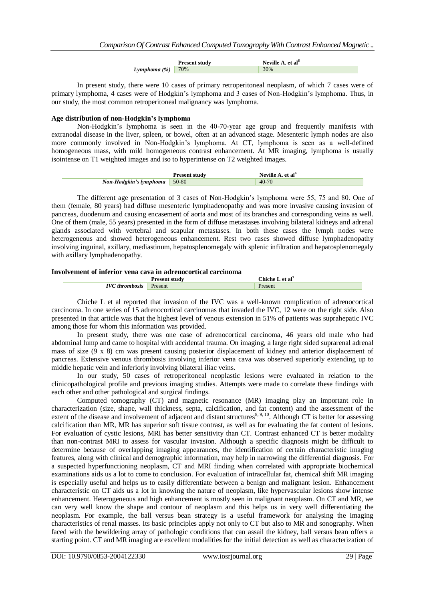|                | Present study | Neville A, et al <sup>6</sup> |
|----------------|---------------|-------------------------------|
| $Lymphona$ (%) | 70%           | 30%                           |

In present study, there were 10 cases of primary retroperitoneal neoplasm, of which 7 cases were of primary lymphoma, 4 cases were of Hodgkin's lymphoma and 3 cases of Non-Hodgkin's lymphoma. Thus, in our study, the most common retroperitoneal malignancy was lymphoma.

# **Age distribution of non-Hodgkin's lymphoma**

Non-Hodgkin's lymphoma is seen in the 40-70-year age group and frequently manifests with extranodal disease in the liver, spleen, or bowel, often at an advanced stage. Mesenteric lymph nodes are also more commonly involved in Non-Hodgkin's lymphoma. At CT, lymphoma is seen as a well-defined homogeneous mass, with mild homogeneous contrast enhancement. At MR imaging, lymphoma is usually isointense on T1 weighted images and iso to hyperintense on T2 weighted images.

|                              | <b>Present study</b> | Neville A. et al <sup>o</sup> |
|------------------------------|----------------------|-------------------------------|
| Non-Hodgkin's lymphoma 50-80 |                      | $40 - 70$                     |

The different age presentation of 3 cases of Non-Hodgkin's lymphoma were 55, 75 and 80. One of them (female, 80 years) had diffuse mesenteric lymphadenopathy and was more invasive causing invasion of pancreas, duodenum and causing encasement of aorta and most of its branches and corresponding veins as well. One of them (male, 55 years) presented in the form of diffuse metastases involving bilateral kidneys and adrenal glands associated with vertebral and scapular metastases. In both these cases the lymph nodes were heterogeneous and showed heterogeneous enhancement. Rest two cases showed diffuse lymphadenopathy involving inguinal, axillary, mediastinum, hepatosplenomegaly with splenic infiltration and hepatosplenomegaly with axillary lymphadenopathy.

#### **Involvement of inferior vena cava in adrenocortical carcinoma**

|                                      | P      | ``hiche_<br>. et al |
|--------------------------------------|--------|---------------------|
| wc<br>$f_{\rm{max}}$<br>$\alpha$ aia | resent | cm                  |

Chiche L et al reported that invasion of the IVC was a well-known complication of adrenocortical carcinoma. In one series of 15 adrenocortical carcinomas that invaded the IVC, 12 were on the right side. Also presented in that article was that the highest level of venous extension in 51% of patients was suprahepatic IVC among those for whom this information was provided.

In present study, there was one case of adrenocortical carcinoma, 46 years old male who had abdominal lump and came to hospital with accidental trauma. On imaging, a large right sided suprarenal adrenal mass of size (9 x 8) cm was present causing posterior displacement of kidney and anterior displacement of pancreas. Extensive venous thrombosis involving inferior vena cava was observed superiorly extending up to middle hepatic vein and inferiorly involving bilateral iliac veins.

In our study, 50 cases of retroperitoneal neoplastic lesions were evaluated in relation to the clinicopathological profile and previous imaging studies. Attempts were made to correlate these findings with each other and other pathological and surgical findings.

Computed tomography (CT) and magnetic resonance (MR) imaging play an important role in characterization (size, shape, wall thickness, septa, calcification, and fat content) and the assessment of the extent of the disease and involvement of adjacent and distant structures  $8, 9, 10$ . Although CT is better for assessing calcification than MR, MR has superior soft tissue contrast, as well as for evaluating the fat content of lesions. For evaluation of cystic lesions, MRI has better sensitivity than CT. Contrast enhanced CT is better modality than non-contrast MRI to assess for vascular invasion. Although a specific diagnosis might be difficult to determine because of overlapping imaging appearances, the identification of certain characteristic imaging features, along with clinical and demographic information, may help in narrowing the differential diagnosis. For a suspected hyperfunctioning neoplasm, CT and MRI finding when correlated with appropriate biochemical examinations aids us a lot to come to conclusion. For evaluation of intracellular fat, chemical shift MR imaging is especially useful and helps us to easily differentiate between a benign and malignant lesion. Enhancement characteristic on CT aids us a lot in knowing the nature of neoplasm, like hypervascular lesions show intense enhancement. Heterogeneous and high enhancement is mostly seen in malignant neoplasm. On CT and MR, we can very well know the shape and contour of neoplasm and this helps us in very well differentiating the neoplasm. For example, the ball versus bean strategy is a useful framework for analysing the imaging characteristics of renal masses. Its basic principles apply not only to CT but also to MR and sonography. When faced with the bewildering array of pathologic conditions that can assail the kidney, ball versus bean offers a starting point. CT and MR imaging are excellent modalities for the initial detection as well as characterization of